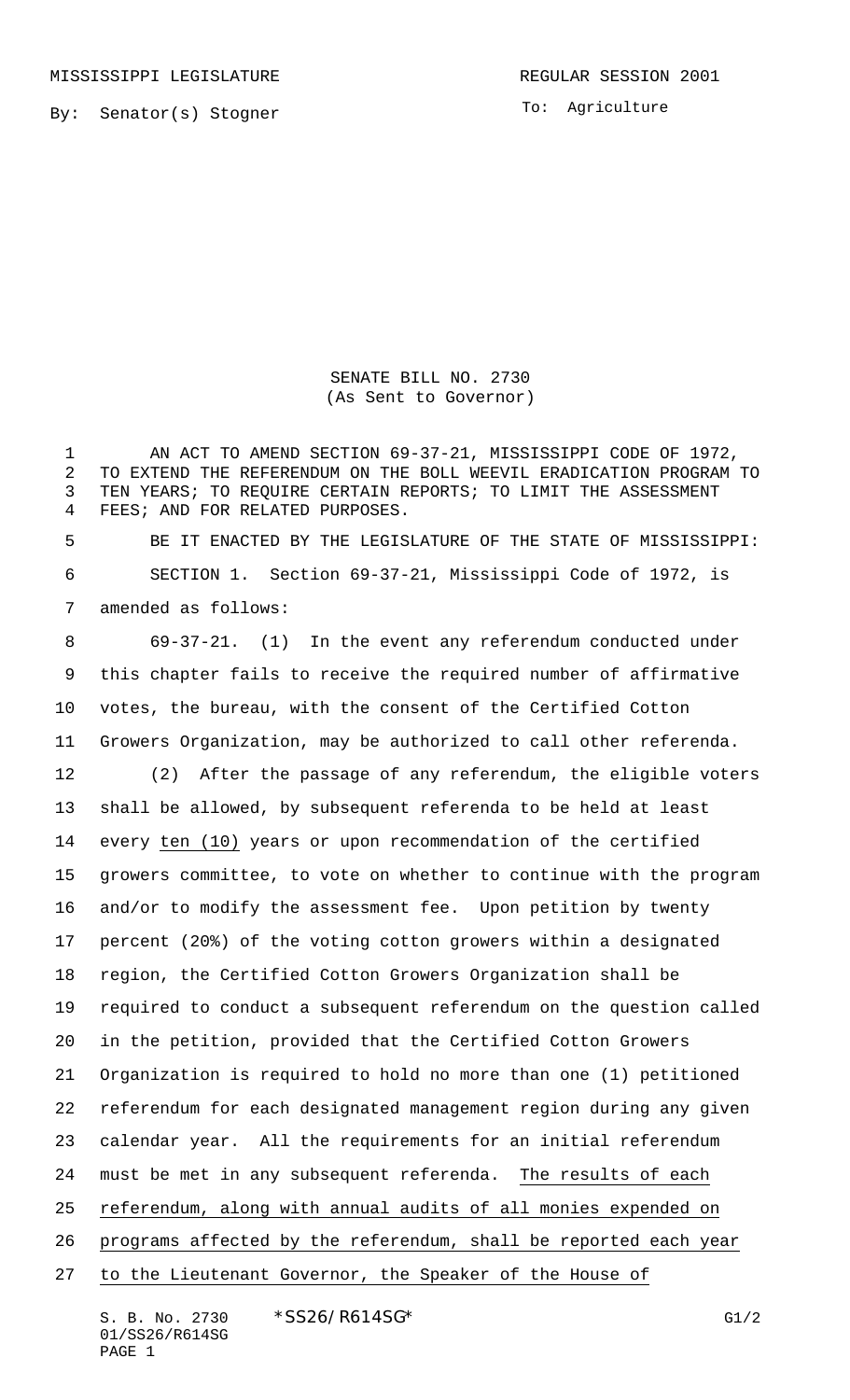By: Senator(s) Stogner

To: Agriculture

SENATE BILL NO. 2730 (As Sent to Governor)

 AN ACT TO AMEND SECTION 69-37-21, MISSISSIPPI CODE OF 1972, TO EXTEND THE REFERENDUM ON THE BOLL WEEVIL ERADICATION PROGRAM TO TEN YEARS; TO REQUIRE CERTAIN REPORTS; TO LIMIT THE ASSESSMENT FEES; AND FOR RELATED PURPOSES.

 BE IT ENACTED BY THE LEGISLATURE OF THE STATE OF MISSISSIPPI: SECTION 1. Section 69-37-21, Mississippi Code of 1972, is amended as follows:

 69-37-21. (1) In the event any referendum conducted under this chapter fails to receive the required number of affirmative votes, the bureau, with the consent of the Certified Cotton Growers Organization, may be authorized to call other referenda. (2) After the passage of any referendum, the eligible voters shall be allowed, by subsequent referenda to be held at least every ten (10) years or upon recommendation of the certified growers committee, to vote on whether to continue with the program and/or to modify the assessment fee. Upon petition by twenty percent (20%) of the voting cotton growers within a designated region, the Certified Cotton Growers Organization shall be required to conduct a subsequent referendum on the question called in the petition, provided that the Certified Cotton Growers Organization is required to hold no more than one (1) petitioned referendum for each designated management region during any given calendar year. All the requirements for an initial referendum must be met in any subsequent referenda. The results of each referendum, along with annual audits of all monies expended on programs affected by the referendum, shall be reported each year to the Lieutenant Governor, the Speaker of the House of

S. B. No. 2730 \* SS26/R614SG\* G1/2 01/SS26/R614SG PAGE 1